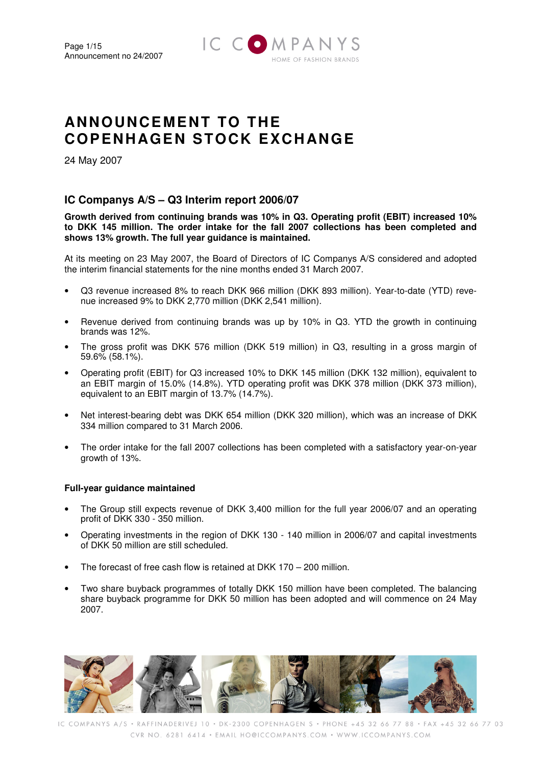

# **ANNOUNCEMENT TO THE COPENHAGEN STOCK EXCH ANGE**

24 May 2007

# **IC Companys A/S – Q3 Interim report 2006/07**

**Growth derived from continuing brands was 10% in Q3. Operating profit (EBIT) increased 10% to DKK 145 million. The order intake for the fall 2007 collections has been completed and shows 13% growth. The full year guidance is maintained.** 

At its meeting on 23 May 2007, the Board of Directors of IC Companys A/S considered and adopted the interim financial statements for the nine months ended 31 March 2007.

- Q3 revenue increased 8% to reach DKK 966 million (DKK 893 million). Year-to-date (YTD) revenue increased 9% to DKK 2,770 million (DKK 2,541 million).
- Revenue derived from continuing brands was up by 10% in Q3. YTD the growth in continuing brands was 12%.
- The gross profit was DKK 576 million (DKK 519 million) in Q3, resulting in a gross margin of 59.6% (58.1%).
- Operating profit (EBIT) for Q3 increased 10% to DKK 145 million (DKK 132 million), equivalent to an EBIT margin of 15.0% (14.8%). YTD operating profit was DKK 378 million (DKK 373 million), equivalent to an EBIT margin of 13.7% (14.7%).
- Net interest-bearing debt was DKK 654 million (DKK 320 million), which was an increase of DKK 334 million compared to 31 March 2006.
- The order intake for the fall 2007 collections has been completed with a satisfactory year-on-year growth of 13%.

### **Full-year guidance maintained**

- The Group still expects revenue of DKK 3,400 million for the full year 2006/07 and an operating profit of DKK 330 - 350 million.
- Operating investments in the region of DKK 130 140 million in 2006/07 and capital investments of DKK 50 million are still scheduled.
- The forecast of free cash flow is retained at DKK 170 200 million.
- Two share buyback programmes of totally DKK 150 million have been completed. The balancing share buyback programme for DKK 50 million has been adopted and will commence on 24 May 2007.

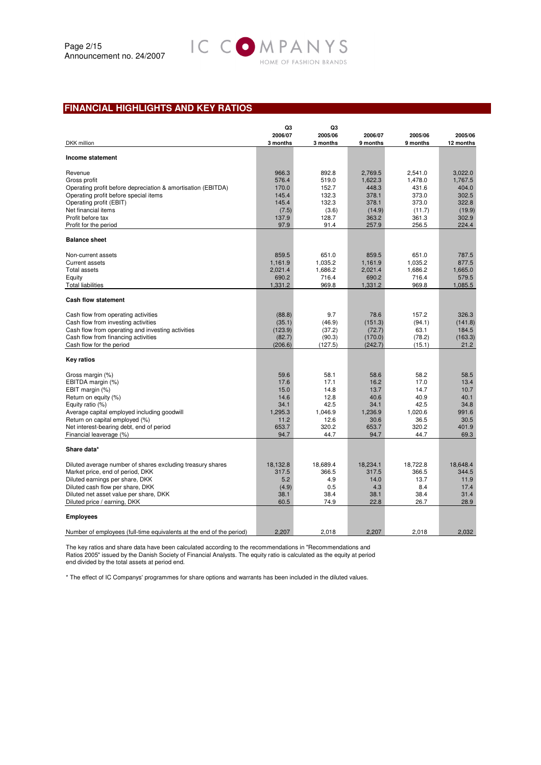# **FINANCIAL HIGHLIGHTS AND KEY RATIOS**

|                                                                      | Q3                  | Q3                  |                     |                     |                      |
|----------------------------------------------------------------------|---------------------|---------------------|---------------------|---------------------|----------------------|
| DKK million                                                          | 2006/07<br>3 months | 2005/06<br>3 months | 2006/07<br>9 months | 2005/06<br>9 months | 2005/06<br>12 months |
| Income statement                                                     |                     |                     |                     |                     |                      |
| Revenue                                                              | 966.3               | 892.8               | 2,769.5             | 2,541.0             | 3,022.0              |
| Gross profit                                                         | 576.4               | 519.0               | 1,622.3             | 1,478.0             | 1,767.5              |
| Operating profit before depreciation & amortisation (EBITDA)         | 170.0               | 152.7               | 448.3               | 431.6               | 404.0                |
| Operating profit before special items                                | 145.4               | 132.3               | 378.1               | 373.0               | 302.5                |
| Operating profit (EBIT)                                              | 145.4               | 132.3               | 378.1               | 373.0               | 322.8                |
| Net financial items                                                  | (7.5)               | (3.6)               | (14.9)              | (11.7)              | (19.9)               |
| Profit before tax                                                    | 137.9               | 128.7               | 363.2               | 361.3               | 302.9                |
| Profit for the period                                                | 97.9                | 91.4                | 257.9               | 256.5               | 224.4                |
| <b>Balance sheet</b>                                                 |                     |                     |                     |                     |                      |
| Non-current assets                                                   | 859.5               | 651.0               | 859.5               | 651.0               | 787.5                |
| <b>Current assets</b>                                                | 1,161.9             | 1,035.2             | 1,161.9             | 1,035.2             | 877.5                |
| <b>Total assets</b>                                                  | 2.021.4             | 1,686.2             | 2,021.4             | 1,686.2             | 1.665.0              |
| Equity                                                               | 690.2               | 716.4               | 690.2               | 716.4               | 579.5                |
| <b>Total liabilities</b>                                             | 1,331.2             | 969.8               | 1,331.2             | 969.8               | 1,085.5              |
| <b>Cash flow statement</b>                                           |                     |                     |                     |                     |                      |
| Cash flow from operating activities                                  | (88.8)              | 9.7                 | 78.6                | 157.2               | 326.3                |
| Cash flow from investing activities                                  | (35.1)              | (46.9)              | (151.3)             | (94.1)              | (141.8)              |
| Cash flow from operating and investing activities                    | (123.9)             | (37.2)              | (72.7)              | 63.1                | 184.5                |
| Cash flow from financing activities                                  | (82.7)              | (90.3)              | (170.0)             | (78.2)              | (163.3)              |
| Cash flow for the period                                             | (206.6)             | (127.5)             | (242.7)             | (15.1)              | 21.2                 |
| <b>Key ratios</b>                                                    |                     |                     |                     |                     |                      |
| Gross margin (%)                                                     | 59.6                | 58.1                | 58.6                | 58.2                | 58.5                 |
| EBITDA margin (%)                                                    | 17.6                | 17.1                | 16.2                | 17.0                | 13.4                 |
| EBIT margin (%)                                                      | 15.0                | 14.8                | 13.7                | 14.7                | 10.7                 |
| Return on equity (%)                                                 | 14.6                | 12.8                | 40.6                | 40.9                | 40.1                 |
| Equity ratio (%)                                                     | 34.1                | 42.5                | 34.1                | 42.5                | 34.8                 |
| Average capital employed including goodwill                          | 1,295.3             | 1,046.9             | 1,236.9             | 1,020.6             | 991.6                |
| Return on capital employed (%)                                       | 11.2                | 12.6                | 30.6                | 36.5                | 30.5                 |
| Net interest-bearing debt, end of period<br>Financial leaverage (%)  | 653.7<br>94.7       | 320.2<br>44.7       | 653.7<br>94.7       | 320.2<br>44.7       | 401.9<br>69.3        |
|                                                                      |                     |                     |                     |                     |                      |
| Share data*                                                          |                     |                     |                     |                     |                      |
| Diluted average number of shares excluding treasury shares           | 18.132.8            | 18.689.4            | 18,234.1            | 18.722.8            | 18.648.4             |
| Market price, end of period, DKK                                     | 317.5               | 366.5               | 317.5               | 366.5               | 344.5                |
| Diluted earnings per share, DKK                                      | 5.2                 | 4.9                 | 14.0                | 13.7                | 11.9                 |
| Diluted cash flow per share, DKK                                     | (4.9)               | 0.5                 | 4.3                 | 8.4                 | 17.4                 |
| Diluted net asset value per share, DKK                               | 38.1                | 38.4                | 38.1                | 38.4                | 31.4                 |
| Diluted price / earning, DKK                                         | 60.5                | 74.9                | 22.8                | 26.7                | 28.9                 |
| <b>Employees</b>                                                     |                     |                     |                     |                     |                      |
| Number of employees (full-time equivalents at the end of the period) | 2,207               | 2.018               | 2,207               | 2,018               | 2,032                |

IC COMPANYS

HOME OF FASHION BRANDS

The key ratios and share data have been calculated according to the recommendations in "Recommendations and Ratios 2005" issued by the Danish Society of Financial Analysts. The equity ratio is calculated as the equity at period end divided by the total assets at period end.

\* The effect of IC Companys' programmes for share options and warrants has been included in the diluted values.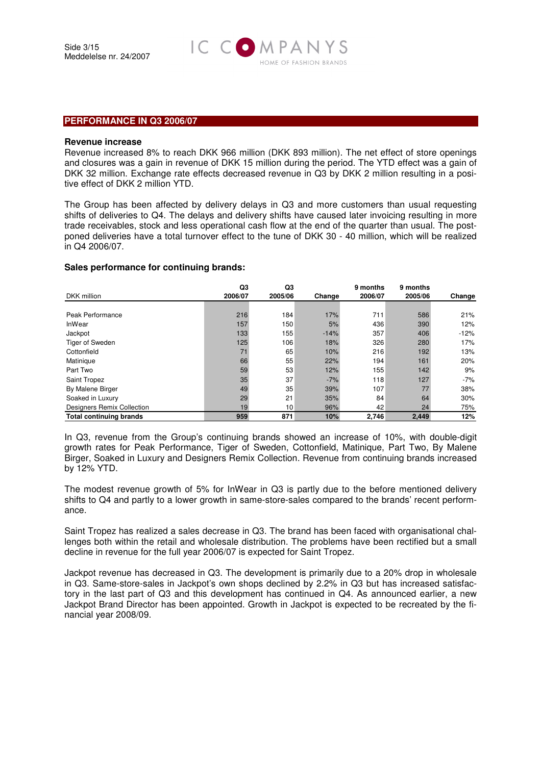

#### **PERFORMANCE IN Q3 2006/07**

#### **Revenue increase**

Revenue increased 8% to reach DKK 966 million (DKK 893 million). The net effect of store openings and closures was a gain in revenue of DKK 15 million during the period. The YTD effect was a gain of DKK 32 million. Exchange rate effects decreased revenue in Q3 by DKK 2 million resulting in a positive effect of DKK 2 million YTD.

The Group has been affected by delivery delays in Q3 and more customers than usual requesting shifts of deliveries to Q4. The delays and delivery shifts have caused later invoicing resulting in more trade receivables, stock and less operational cash flow at the end of the quarter than usual. The postponed deliveries have a total turnover effect to the tune of DKK 30 - 40 million, which will be realized in Q4 2006/07.

#### **Sales performance for continuing brands:**

|                                | Q3      | Q3      |        | 9 months | 9 months |        |
|--------------------------------|---------|---------|--------|----------|----------|--------|
| DKK million                    | 2006/07 | 2005/06 | Change | 2006/07  | 2005/06  | Change |
|                                |         |         |        |          |          |        |
| Peak Performance               | 216     | 184     | 17%    | 711      | 586      | 21%    |
| InWear                         | 157     | 150     | 5%     | 436      | 390      | 12%    |
| Jackpot                        | 133     | 155     | $-14%$ | 357      | 406      | $-12%$ |
| Tiger of Sweden                | 125     | 106     | 18%    | 326      | 280      | 17%    |
| Cottonfield                    | 71      | 65      | 10%    | 216      | 192      | 13%    |
| Matinique                      | 66      | 55      | 22%    | 194      | 161      | 20%    |
| Part Two                       | 59      | 53      | 12%    | 155      | 142      | 9%     |
| Saint Tropez                   | 35      | 37      | $-7%$  | 118      | 127      | $-7%$  |
| By Malene Birger               | 49      | 35      | 39%    | 107      | 77       | 38%    |
| Soaked in Luxury               | 29      | 21      | 35%    | 84       | 64       | 30%    |
| Designers Remix Collection     | 19      | 10      | 96%    | 42       | 24       | 75%    |
| <b>Total continuing brands</b> | 959     | 871     | 10%    | 2,746    | 2,449    | 12%    |

In Q3, revenue from the Group's continuing brands showed an increase of 10%, with double-digit growth rates for Peak Performance, Tiger of Sweden, Cottonfield, Matinique, Part Two, By Malene Birger, Soaked in Luxury and Designers Remix Collection. Revenue from continuing brands increased by 12% YTD.

The modest revenue growth of 5% for InWear in Q3 is partly due to the before mentioned delivery shifts to Q4 and partly to a lower growth in same-store-sales compared to the brands' recent performance.

Saint Tropez has realized a sales decrease in Q3. The brand has been faced with organisational challenges both within the retail and wholesale distribution. The problems have been rectified but a small decline in revenue for the full year 2006/07 is expected for Saint Tropez.

Jackpot revenue has decreased in Q3. The development is primarily due to a 20% drop in wholesale in Q3. Same-store-sales in Jackpot's own shops declined by 2.2% in Q3 but has increased satisfactory in the last part of Q3 and this development has continued in Q4. As announced earlier, a new Jackpot Brand Director has been appointed. Growth in Jackpot is expected to be recreated by the financial year 2008/09.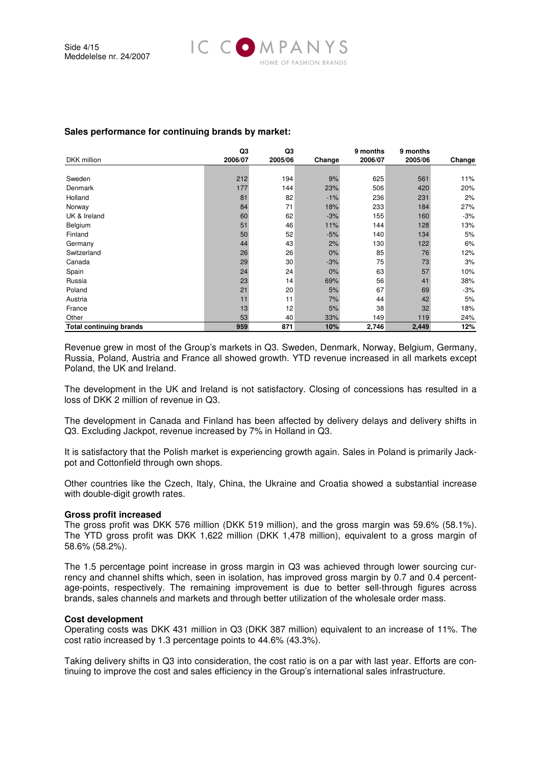

### **Sales performance for continuing brands by market:**

| <b>DKK</b> million             | Q <sub>3</sub><br>2006/07 | Q3<br>2005/06 | Change | 9 months<br>2006/07 | 9 months<br>2005/06 | Change |
|--------------------------------|---------------------------|---------------|--------|---------------------|---------------------|--------|
|                                |                           |               |        |                     |                     |        |
| Sweden                         | 212                       | 194           | 9%     | 625                 | 561                 | 11%    |
| Denmark                        | 177                       | 144           | 23%    | 506                 | 420                 | 20%    |
| Holland                        | 81                        | 82            | $-1%$  | 236                 | 231                 | 2%     |
| Norway                         | 84                        | 71            | 18%    | 233                 | 184                 | 27%    |
| UK & Ireland                   | 60                        | 62            | $-3%$  | 155                 | 160                 | $-3%$  |
| Belgium                        | 51                        | 46            | 11%    | 144                 | 128                 | 13%    |
| Finland                        | 50                        | 52            | $-5%$  | 140                 | 134                 | 5%     |
| Germany                        | 44                        | 43            | 2%     | 130                 | 122                 | 6%     |
| Switzerland                    | 26                        | 26            | 0%     | 85                  | 76                  | 12%    |
| Canada                         | 29                        | 30            | $-3%$  | 75                  | 73                  | 3%     |
| Spain                          | 24                        | 24            | 0%     | 63                  | 57                  | 10%    |
| Russia                         | 23                        | 14            | 69%    | 56                  | 41                  | 38%    |
| Poland                         | 21                        | 20            | 5%     | 67                  | 69                  | $-3%$  |
| Austria                        | 11                        | 11            | 7%     | 44                  | 42                  | 5%     |
| France                         | 13                        | 12            | 5%     | 38                  | 32                  | 18%    |
| Other                          | 53                        | 40            | 33%    | 149                 | 119                 | 24%    |
| <b>Total continuing brands</b> | 959                       | 871           | 10%    | 2,746               | 2,449               | 12%    |

Revenue grew in most of the Group's markets in Q3. Sweden, Denmark, Norway, Belgium, Germany, Russia, Poland, Austria and France all showed growth. YTD revenue increased in all markets except Poland, the UK and Ireland.

The development in the UK and Ireland is not satisfactory. Closing of concessions has resulted in a loss of DKK 2 million of revenue in Q3.

The development in Canada and Finland has been affected by delivery delays and delivery shifts in Q3. Excluding Jackpot, revenue increased by 7% in Holland in Q3.

It is satisfactory that the Polish market is experiencing growth again. Sales in Poland is primarily Jackpot and Cottonfield through own shops.

Other countries like the Czech, Italy, China, the Ukraine and Croatia showed a substantial increase with double-digit growth rates.

#### **Gross profit increased**

The gross profit was DKK 576 million (DKK 519 million), and the gross margin was 59.6% (58.1%). The YTD gross profit was DKK 1,622 million (DKK 1,478 million), equivalent to a gross margin of 58.6% (58.2%).

The 1.5 percentage point increase in gross margin in Q3 was achieved through lower sourcing currency and channel shifts which, seen in isolation, has improved gross margin by 0.7 and 0.4 percentage-points, respectively. The remaining improvement is due to better sell-through figures across brands, sales channels and markets and through better utilization of the wholesale order mass.

#### **Cost development**

Operating costs was DKK 431 million in Q3 (DKK 387 million) equivalent to an increase of 11%. The cost ratio increased by 1.3 percentage points to 44.6% (43.3%).

Taking delivery shifts in Q3 into consideration, the cost ratio is on a par with last year. Efforts are continuing to improve the cost and sales efficiency in the Group's international sales infrastructure.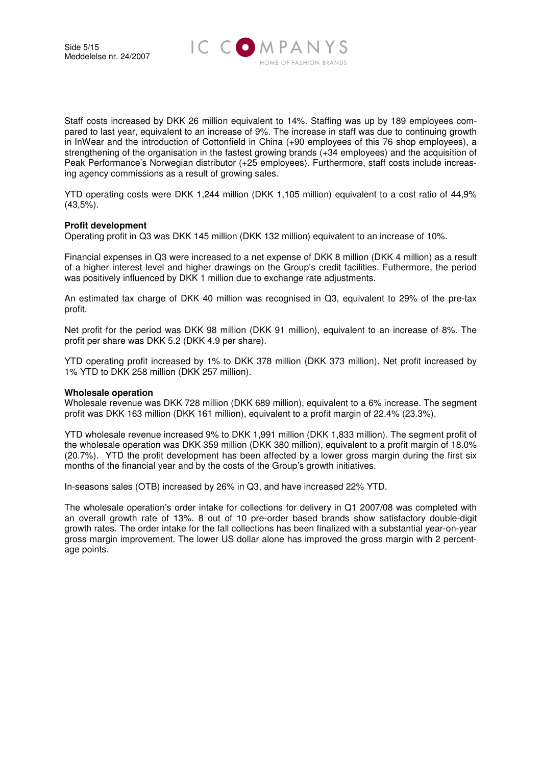

Staff costs increased by DKK 26 million equivalent to 14%. Staffing was up by 189 employees compared to last year, equivalent to an increase of 9%. The increase in staff was due to continuing growth in InWear and the introduction of Cottonfield in China (+90 employees of this 76 shop employees), a strengthening of the organisation in the fastest growing brands (+34 employees) and the acquisition of Peak Performance's Norwegian distributor (+25 employees). Furthermore, staff costs include increasing agency commissions as a result of growing sales.

YTD operating costs were DKK 1,244 million (DKK 1,105 million) equivalent to a cost ratio of 44,9% (43,5%).

#### **Profit development**

Operating profit in Q3 was DKK 145 million (DKK 132 million) equivalent to an increase of 10%.

Financial expenses in Q3 were increased to a net expense of DKK 8 million (DKK 4 million) as a result of a higher interest level and higher drawings on the Group's credit facilities. Futhermore, the period was positively influenced by DKK 1 million due to exchange rate adjustments.

An estimated tax charge of DKK 40 million was recognised in Q3, equivalent to 29% of the pre-tax profit.

Net profit for the period was DKK 98 million (DKK 91 million), equivalent to an increase of 8%. The profit per share was DKK 5.2 (DKK 4.9 per share).

YTD operating profit increased by 1% to DKK 378 million (DKK 373 million). Net profit increased by 1% YTD to DKK 258 million (DKK 257 million).

#### **Wholesale operation**

Wholesale revenue was DKK 728 million (DKK 689 million), equivalent to a 6% increase. The segment profit was DKK 163 million (DKK 161 million), equivalent to a profit margin of 22.4% (23.3%).

YTD wholesale revenue increased 9% to DKK 1,991 million (DKK 1,833 million). The segment profit of the wholesale operation was DKK 359 million (DKK 380 million), equivalent to a profit margin of 18.0% (20.7%). YTD the profit development has been affected by a lower gross margin during the first six months of the financial year and by the costs of the Group's growth initiatives.

In-seasons sales (OTB) increased by 26% in Q3, and have increased 22% YTD.

The wholesale operation's order intake for collections for delivery in Q1 2007/08 was completed with an overall growth rate of 13%. 8 out of 10 pre-order based brands show satisfactory double-digit growth rates. The order intake for the fall collections has been finalized with a substantial year-on-year gross margin improvement. The lower US dollar alone has improved the gross margin with 2 percentage points.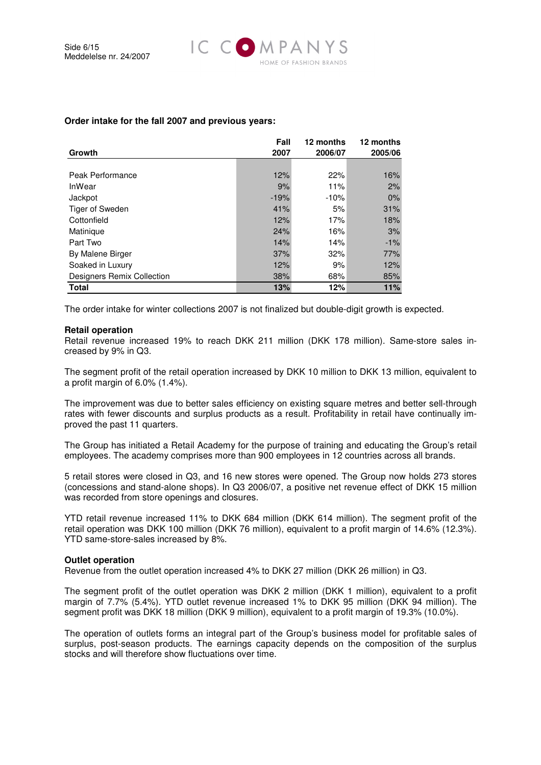

| Growth                     | Fall<br>2007 | 12 months<br>2006/07 | 12 months<br>2005/06 |
|----------------------------|--------------|----------------------|----------------------|
|                            |              |                      |                      |
| Peak Performance           | 12%          | 22%                  | 16%                  |
| InWear                     | 9%           | 11%                  | 2%                   |
| Jackpot                    | $-19%$       | $-10%$               | 0%                   |
| Tiger of Sweden            | 41%          | 5%                   | 31%                  |
| Cottonfield                | 12%          | 17%                  | 18%                  |
| Matinique                  | 24%          | 16%                  | 3%                   |
| Part Two                   | 14%          | 14%                  | $-1%$                |
| By Malene Birger           | 37%          | 32%                  | 77%                  |
| Soaked in Luxury           | 12%          | 9%                   | 12%                  |
| Designers Remix Collection | 38%          | 68%                  | 85%                  |
| <b>Total</b>               | 13%          | 12%                  | 11%                  |

#### **Order intake for the fall 2007 and previous years:**

The order intake for winter collections 2007 is not finalized but double-digit growth is expected.

#### **Retail operation**

Retail revenue increased 19% to reach DKK 211 million (DKK 178 million). Same-store sales increased by 9% in Q3.

The segment profit of the retail operation increased by DKK 10 million to DKK 13 million, equivalent to a profit margin of 6.0% (1.4%).

The improvement was due to better sales efficiency on existing square metres and better sell-through rates with fewer discounts and surplus products as a result. Profitability in retail have continually improved the past 11 quarters.

The Group has initiated a Retail Academy for the purpose of training and educating the Group's retail employees. The academy comprises more than 900 employees in 12 countries across all brands.

5 retail stores were closed in Q3, and 16 new stores were opened. The Group now holds 273 stores (concessions and stand-alone shops). In Q3 2006/07, a positive net revenue effect of DKK 15 million was recorded from store openings and closures.

YTD retail revenue increased 11% to DKK 684 million (DKK 614 million). The segment profit of the retail operation was DKK 100 million (DKK 76 million), equivalent to a profit margin of 14.6% (12.3%). YTD same-store-sales increased by 8%.

#### **Outlet operation**

Revenue from the outlet operation increased 4% to DKK 27 million (DKK 26 million) in Q3.

The segment profit of the outlet operation was DKK 2 million (DKK 1 million), equivalent to a profit margin of 7.7% (5.4%). YTD outlet revenue increased 1% to DKK 95 million (DKK 94 million). The segment profit was DKK 18 million (DKK 9 million), equivalent to a profit margin of 19.3% (10.0%).

The operation of outlets forms an integral part of the Group's business model for profitable sales of surplus, post-season products. The earnings capacity depends on the composition of the surplus stocks and will therefore show fluctuations over time.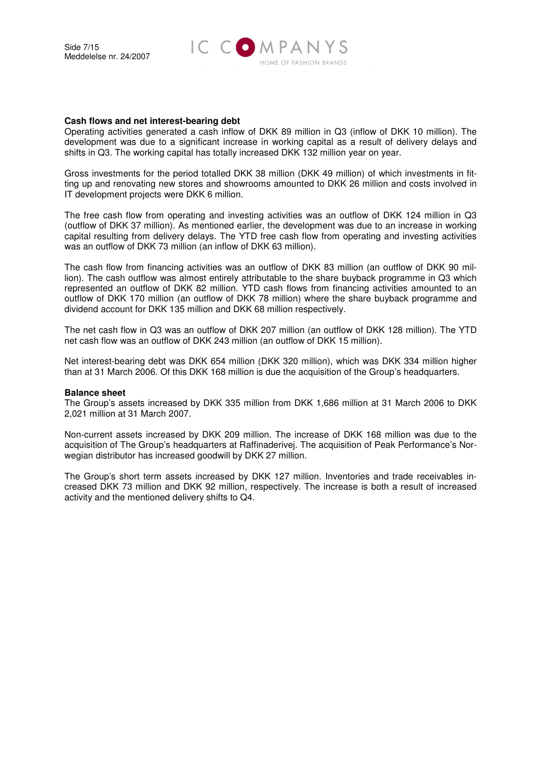

#### **Cash flows and net interest-bearing debt**

Operating activities generated a cash inflow of DKK 89 million in Q3 (inflow of DKK 10 million). The development was due to a significant increase in working capital as a result of delivery delays and shifts in Q3. The working capital has totally increased DKK 132 million year on year.

Gross investments for the period totalled DKK 38 million (DKK 49 million) of which investments in fitting up and renovating new stores and showrooms amounted to DKK 26 million and costs involved in IT development projects were DKK 6 million.

The free cash flow from operating and investing activities was an outflow of DKK 124 million in Q3 (outflow of DKK 37 million). As mentioned earlier, the development was due to an increase in working capital resulting from delivery delays. The YTD free cash flow from operating and investing activities was an outflow of DKK 73 million (an inflow of DKK 63 million).

The cash flow from financing activities was an outflow of DKK 83 million (an outflow of DKK 90 million). The cash outflow was almost entirely attributable to the share buyback programme in Q3 which represented an outflow of DKK 82 million. YTD cash flows from financing activities amounted to an outflow of DKK 170 million (an outflow of DKK 78 million) where the share buyback programme and dividend account for DKK 135 million and DKK 68 million respectively.

The net cash flow in Q3 was an outflow of DKK 207 million (an outflow of DKK 128 million). The YTD net cash flow was an outflow of DKK 243 million (an outflow of DKK 15 million).

Net interest-bearing debt was DKK 654 million (DKK 320 million), which was DKK 334 million higher than at 31 March 2006. Of this DKK 168 million is due the acquisition of the Group's headquarters.

#### **Balance sheet**

The Group's assets increased by DKK 335 million from DKK 1,686 million at 31 March 2006 to DKK 2,021 million at 31 March 2007.

Non-current assets increased by DKK 209 million. The increase of DKK 168 million was due to the acquisition of The Group's headquarters at Raffinaderivej. The acquisition of Peak Performance's Norwegian distributor has increased goodwill by DKK 27 million.

The Group's short term assets increased by DKK 127 million. Inventories and trade receivables increased DKK 73 million and DKK 92 million, respectively. The increase is both a result of increased activity and the mentioned delivery shifts to Q4.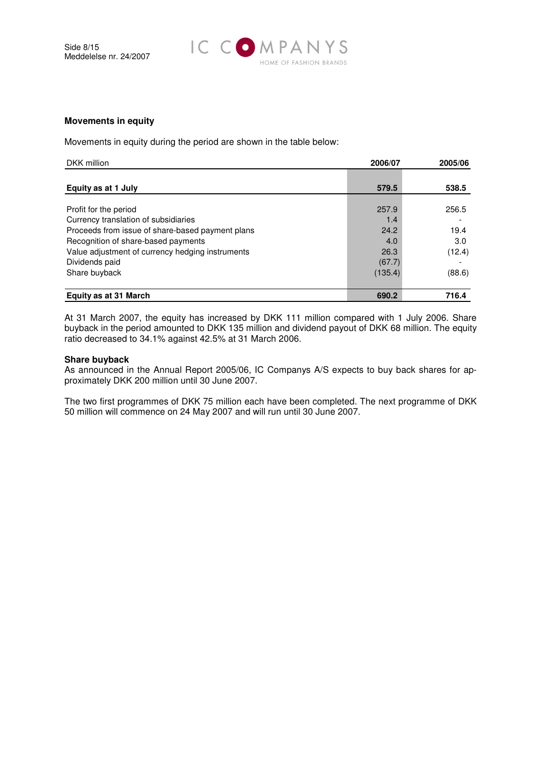

#### **Movements in equity**

Movements in equity during the period are shown in the table below:

| DKK million                                      | 2006/07 | 2005/06 |
|--------------------------------------------------|---------|---------|
|                                                  |         |         |
| Equity as at 1 July                              | 579.5   | 538.5   |
|                                                  |         |         |
| Profit for the period                            | 257.9   | 256.5   |
| Currency translation of subsidiaries             | 1.4     |         |
| Proceeds from issue of share-based payment plans | 24.2    | 19.4    |
| Recognition of share-based payments              | 4.0     | 3.0     |
| Value adjustment of currency hedging instruments | 26.3    | (12.4)  |
| Dividends paid                                   | (67.7)  |         |
| Share buyback                                    | (135.4) | (88.6)  |
| <b>Equity as at 31 March</b>                     | 690.2   | 716.4   |

At 31 March 2007, the equity has increased by DKK 111 million compared with 1 July 2006. Share buyback in the period amounted to DKK 135 million and dividend payout of DKK 68 million. The equity ratio decreased to 34.1% against 42.5% at 31 March 2006.

#### **Share buyback**

As announced in the Annual Report 2005/06, IC Companys A/S expects to buy back shares for approximately DKK 200 million until 30 June 2007.

The two first programmes of DKK 75 million each have been completed. The next programme of DKK 50 million will commence on 24 May 2007 and will run until 30 June 2007.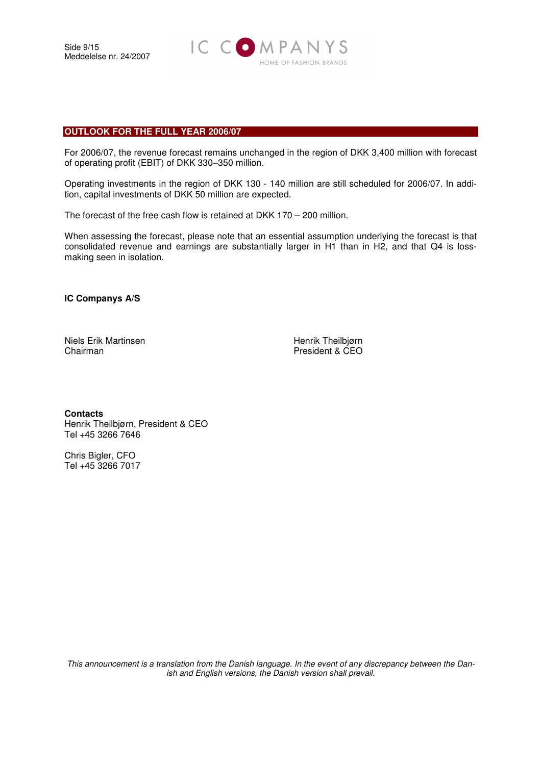Side 9/15 Meddelelse nr. 24/2007



#### **OUTLOOK FOR THE FULL YEAR 2006/07**

For 2006/07, the revenue forecast remains unchanged in the region of DKK 3,400 million with forecast of operating profit (EBIT) of DKK 330–350 million.

Operating investments in the region of DKK 130 - 140 million are still scheduled for 2006/07. In addition, capital investments of DKK 50 million are expected.

The forecast of the free cash flow is retained at DKK 170 – 200 million.

When assessing the forecast, please note that an essential assumption underlying the forecast is that consolidated revenue and earnings are substantially larger in H1 than in H2, and that Q4 is lossmaking seen in isolation.

**IC Companys A/S** 

Niels Erik Martinsen Henrik Theilbjørn Chairman **President & CEO** 

**Contacts**  Henrik Theilbjørn, President & CEO Tel +45 3266 7646

Chris Bigler, CFO Tel +45 3266 7017

This announcement is a translation from the Danish language. In the event of any discrepancy between the Danish and English versions, the Danish version shall prevail.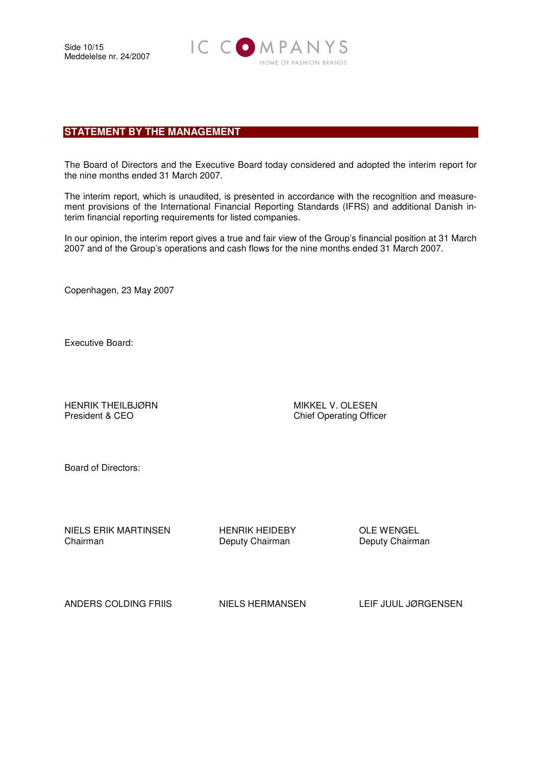

# **STATEMENT BY THE MANAGEMENT**

The Board of Directors and the Executive Board today considered and adopted the interim report for the nine months ended 31 March 2007.

The interim report, which is unaudited, is presented in accordance with the recognition and measurement provisions of the International Financial Reporting Standards (IFRS) and additional Danish interim financial reporting requirements for listed companies.

In our opinion, the interim report gives a true and fair view of the Group's financial position at 31 March 2007 and of the Group's operations and cash flows for the nine months ended 31 March 2007.

Copenhagen, 23 May 2007

Executive Board:

HENRIK THEILBJØRN MIKKEL V. OLESEN President & CEO Chief Operating Officer

Board of Directors:

NIELS ERIK MARTINSEN HENRIK HEIDEBY OLE WENGEL<br>Chairman Deputy Chairman Deputy Chairman Chairman Deputy Chairman Deputy Chairman

ANDERS COLDING FRIIS NIELS HERMANSEN LEIF JUUL JØRGENSEN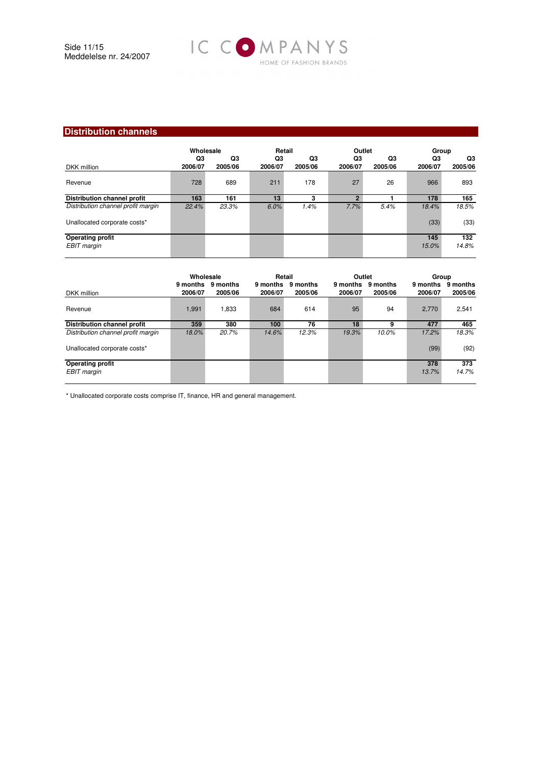

# **Distribution channels**

|                                        | Wholesale     |               | Retail        |               | Outlet        |               | Group         |               |
|----------------------------------------|---------------|---------------|---------------|---------------|---------------|---------------|---------------|---------------|
| DKK million                            | Q3<br>2006/07 | Q3<br>2005/06 | Q3<br>2006/07 | Q3<br>2005/06 | Q3<br>2006/07 | Q3<br>2005/06 | Q3<br>2006/07 | Q3<br>2005/06 |
| Revenue                                | 728           | 689           | 211           | 178           | 27            | 26            | 966           | 893           |
| <b>Distribution channel profit</b>     | 163           | 161           | 13            | я             | c             |               | 178           | 165           |
| Distribution channel profit margin     | 22.4%         | 23.3%         | 6.0%          | 1.4%          | 7.7%          | 5.4%          | 18.4%         | 18.5%         |
| Unallocated corporate costs*           |               |               |               |               |               |               | (33)          | (33)          |
| <b>Operating profit</b><br>EBIT margin |               |               |               |               |               |               | 145<br>15.0%  | 132<br>14.8%  |

| Wholesale |                     | Retail              |                     | Outlet              |                     | Group        |                     |
|-----------|---------------------|---------------------|---------------------|---------------------|---------------------|--------------|---------------------|
| 2006/07   | 9 months<br>2005/06 | 9 months<br>2006/07 | 9 months<br>2005/06 | 9 months<br>2006/07 | 9 months<br>2005/06 | 2006/07      | 9 months<br>2005/06 |
| 1,991     | 1,833               | 684                 | 614                 | 95                  | 94                  | 2.770        | 2,541               |
| 359       | 380                 | 100                 | 76                  | 18                  | g                   | 477          | 465                 |
| 18.0%     | 20.7%               | 14.6%               | 12.3%               | 19.3%               | 10.0%               | 17.2%        | 18.3%               |
|           |                     |                     |                     |                     |                     | (99)         | (92)                |
|           |                     |                     |                     |                     |                     | 378<br>13.7% | 373<br>14.7%        |
|           |                     | 9 months            |                     |                     |                     |              | 9 months            |

\* Unallocated corporate costs comprise IT, finance, HR and general management.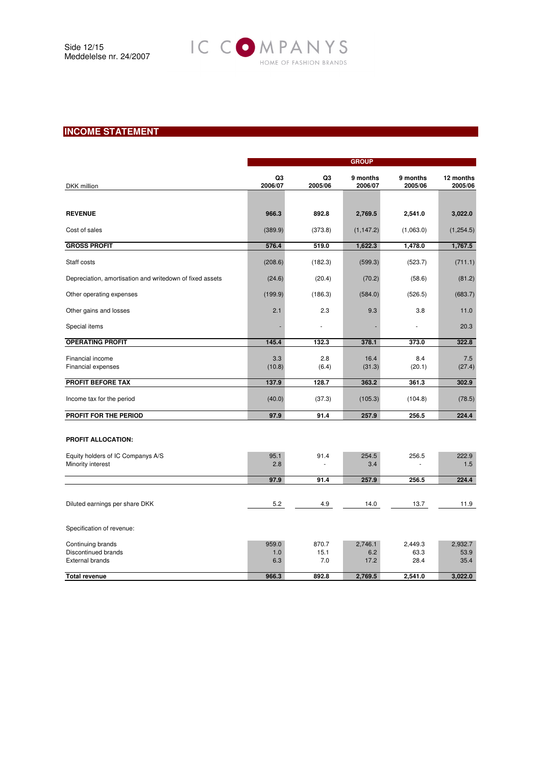

# **INCOME STATEMENT**

|                                                                    | <b>GROUP</b>        |                      |                        |                         |                         |  |
|--------------------------------------------------------------------|---------------------|----------------------|------------------------|-------------------------|-------------------------|--|
| DKK million                                                        | Q3<br>2006/07       | Q3<br>2005/06        | 9 months<br>2006/07    | 9 months<br>2005/06     | 12 months<br>2005/06    |  |
|                                                                    |                     |                      |                        |                         |                         |  |
| <b>REVENUE</b>                                                     | 966.3               | 892.8                | 2,769.5                | 2,541.0                 | 3,022.0                 |  |
| Cost of sales                                                      | (389.9)             | (373.8)              | (1, 147.2)             | (1,063.0)               | (1,254.5)               |  |
| <b>GROSS PROFIT</b>                                                | 576.4               | 519.0                | 1,622.3                | 1,478.0                 | 1,767.5                 |  |
| Staff costs                                                        | (208.6)             | (182.3)              | (599.3)                | (523.7)                 | (711.1)                 |  |
| Depreciation, amortisation and writedown of fixed assets           | (24.6)              | (20.4)               | (70.2)                 | (58.6)                  | (81.2)                  |  |
| Other operating expenses                                           | (199.9)             | (186.3)              | (584.0)                | (526.5)                 | (683.7)                 |  |
| Other gains and losses                                             | 2.1                 | 2.3                  | 9.3                    | 3.8                     | 11.0                    |  |
| Special items                                                      |                     | ä,                   |                        | ä,                      | 20.3                    |  |
| <b>OPERATING PROFIT</b>                                            | 145.4               | 132.3                | 378.1                  | 373.0                   | 322.8                   |  |
| Financial income<br>Financial expenses                             | 3.3<br>(10.8)       | 2.8<br>(6.4)         | 16.4<br>(31.3)         | 8.4<br>(20.1)           | 7.5<br>(27.4)           |  |
| PROFIT BEFORE TAX                                                  | 137.9               | 128.7                | 363.2                  | 361.3                   | 302.9                   |  |
| Income tax for the period                                          | (40.0)              | (37.3)               | (105.3)                | (104.8)                 | (78.5)                  |  |
| PROFIT FOR THE PERIOD                                              | 97.9                | 91.4                 | 257.9                  | 256.5                   | 224.4                   |  |
| PROFIT ALLOCATION:                                                 |                     |                      |                        |                         |                         |  |
| Equity holders of IC Companys A/S<br>Minority interest             | 95.1<br>2.8         | 91.4                 | 254.5<br>3.4           | 256.5                   | 222.9<br>1.5            |  |
|                                                                    | 97.9                | 91.4                 | 257.9                  | 256.5                   | 224.4                   |  |
|                                                                    |                     |                      |                        |                         |                         |  |
| Diluted earnings per share DKK                                     | 5.2                 | 4.9                  | 14.0                   | 13.7                    | 11.9                    |  |
| Specification of revenue:                                          |                     |                      |                        |                         |                         |  |
| Continuing brands<br>Discontinued brands<br><b>External brands</b> | 959.0<br>1.0<br>6.3 | 870.7<br>15.1<br>7.0 | 2,746.1<br>6.2<br>17.2 | 2,449.3<br>63.3<br>28.4 | 2,932.7<br>53.9<br>35.4 |  |
| <b>Total revenue</b>                                               | 966.3               | 892.8                | 2,769.5                | 2,541.0                 | 3,022.0                 |  |
|                                                                    |                     |                      |                        |                         |                         |  |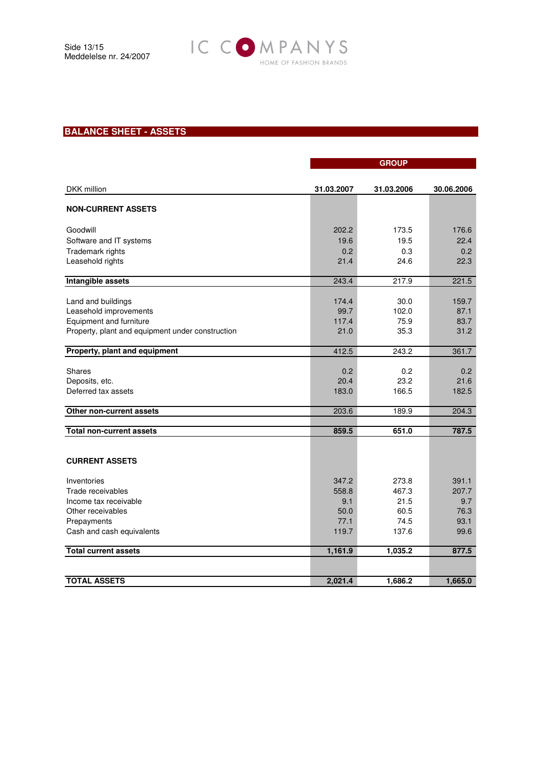

# **BALANCE SHEET - ASSETS**

|                                                  | <b>GROUP</b> |            |            |  |
|--------------------------------------------------|--------------|------------|------------|--|
|                                                  |              |            |            |  |
| DKK million                                      | 31.03.2007   | 31.03.2006 | 30.06.2006 |  |
| <b>NON-CURRENT ASSETS</b>                        |              |            |            |  |
|                                                  |              |            |            |  |
| Goodwill                                         | 202.2        | 173.5      | 176.6      |  |
| Software and IT systems                          | 19.6         | 19.5       | 22.4       |  |
| Trademark rights                                 | 0.2          | 0.3        | 0.2        |  |
| Leasehold rights                                 | 21.4         | 24.6       | 22.3       |  |
| <b>Intangible assets</b>                         | 243.4        | 217.9      | 221.5      |  |
|                                                  |              |            |            |  |
| Land and buildings                               | 174.4        | 30.0       | 159.7      |  |
| Leasehold improvements                           | 99.7         | 102.0      | 87.1       |  |
| Equipment and furniture                          | 117.4        | 75.9       | 83.7       |  |
| Property, plant and equipment under construction | 21.0         | 35.3       | 31.2       |  |
| Property, plant and equipment                    | 412.5        | 243.2      | 361.7      |  |
| <b>Shares</b>                                    | 0.2          | 0.2        | 0.2        |  |
| Deposits, etc.                                   | 20.4         | 23.2       | 21.6       |  |
| Deferred tax assets                              | 183.0        | 166.5      | 182.5      |  |
|                                                  |              |            |            |  |
| Other non-current assets                         | 203.6        | 189.9      | 204.3      |  |
|                                                  |              |            |            |  |
| <b>Total non-current assets</b>                  | 859.5        | 651.0      | 787.5      |  |
|                                                  |              |            |            |  |
|                                                  |              |            |            |  |
| <b>CURRENT ASSETS</b>                            |              |            |            |  |
| Inventories                                      | 347.2        | 273.8      | 391.1      |  |
| Trade receivables                                | 558.8        | 467.3      | 207.7      |  |
| Income tax receivable                            | 9.1          | 21.5       | 9.7        |  |
| Other receivables                                | 50.0         | 60.5       | 76.3       |  |
| Prepayments                                      | 77.1         | 74.5       | 93.1       |  |
| Cash and cash equivalents                        | 119.7        | 137.6      | 99.6       |  |
| <b>Total current assets</b>                      | 1,161.9      | 1,035.2    | 877.5      |  |
|                                                  |              |            |            |  |
| <b>TOTAL ASSETS</b>                              | 2,021.4      | 1,686.2    | 1,665.0    |  |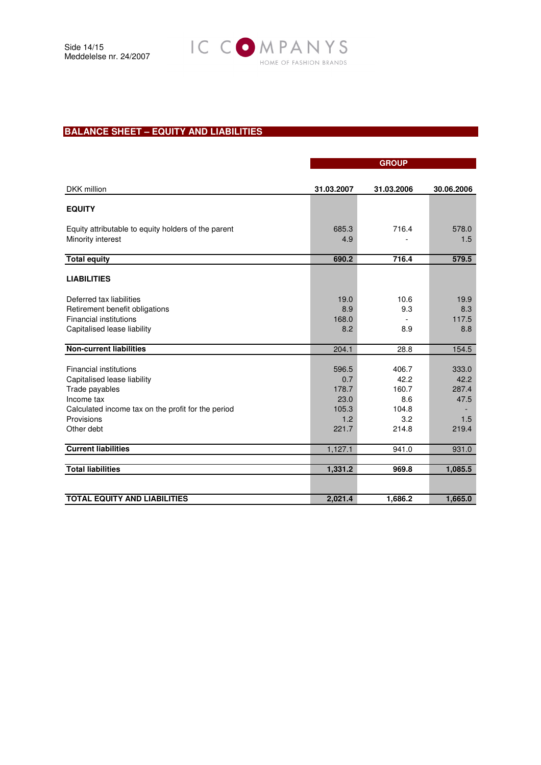

# **BALANCE SHEET – EQUITY AND LIABILITIES**

|                                                     | <b>GROUP</b> |            |            |  |  |
|-----------------------------------------------------|--------------|------------|------------|--|--|
|                                                     |              |            |            |  |  |
| DKK million                                         | 31.03.2007   | 31.03.2006 | 30.06.2006 |  |  |
| <b>EQUITY</b>                                       |              |            |            |  |  |
| Equity attributable to equity holders of the parent | 685.3        | 716.4      | 578.0      |  |  |
| Minority interest                                   | 4.9          |            | 1.5        |  |  |
| <b>Total equity</b>                                 | 690.2        | 716.4      | 579.5      |  |  |
| <b>LIABILITIES</b>                                  |              |            |            |  |  |
| Deferred tax liabilities                            | 19.0         | 10.6       | 19.9       |  |  |
| Retirement benefit obligations                      | 8.9          | 9.3        | 8.3        |  |  |
| <b>Financial institutions</b>                       | 168.0        |            | 117.5      |  |  |
| Capitalised lease liability                         | 8.2          | 8.9        | 8.8        |  |  |
|                                                     |              |            |            |  |  |
| <b>Non-current liabilities</b>                      | 204.1        | 28.8       | 154.5      |  |  |
|                                                     |              |            |            |  |  |
| <b>Financial institutions</b>                       | 596.5        | 406.7      | 333.0      |  |  |
| Capitalised lease liability                         | 0.7          | 42.2       | 42.2       |  |  |
| Trade payables                                      | 178.7        | 160.7      | 287.4      |  |  |
| Income tax                                          | 23.0         | 8.6        | 47.5       |  |  |
| Calculated income tax on the profit for the period  | 105.3        | 104.8      |            |  |  |
| Provisions                                          | 1.2          | 3.2        | 1.5        |  |  |
| Other debt                                          | 221.7        | 214.8      | 219.4      |  |  |
| <b>Current liabilities</b>                          | 1,127.1      | 941.0      | 931.0      |  |  |
|                                                     |              |            |            |  |  |
| <b>Total liabilities</b>                            | 1,331.2      | 969.8      | 1,085.5    |  |  |
|                                                     |              |            |            |  |  |
| <b>TOTAL EQUITY AND LIABILITIES</b>                 | 2,021.4      | 1,686.2    | 1,665.0    |  |  |